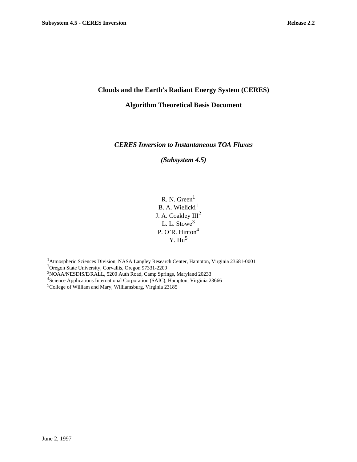# **Clouds and the Earth's Radiant Energy System (CERES)**

### **Algorithm Theoretical Basis Document**

# *CERES Inversion to Instantaneous TOA Fluxes*

*(Subsystem 4.5)*

R. N. Green<sup>1</sup> B. A. Wielicki $^{\rm l}$ J. A. Coakley  $III<sup>2</sup>$ L. L. Stowe<sup>3</sup> P. O'R. Hinton<sup>4</sup>  $Y. Hu<sup>5</sup>$ 

1Atmospheric Sciences Division, NASA Langley Research Center, Hampton, Virginia 23681-0001 <sup>2</sup>Oregon State University, Corvallis, Oregon 97331-2209 3 NOAA/NESDIS/E/RALL, 5200 Auth Road, Camp Springs, Maryland 20233 <sup>4</sup>Science Applications International Corporation (SAIC), Hampton, Virginia 23666 5 College of William and Mary, Williamsburg, Virginia 23185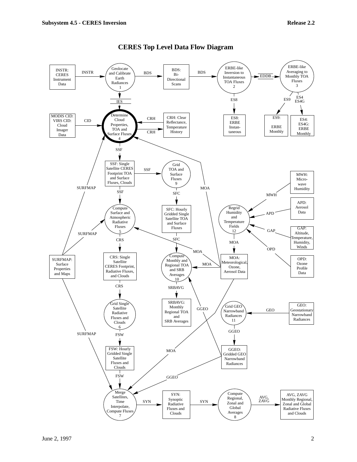

# **CERES Top Level Data Flow Diagram**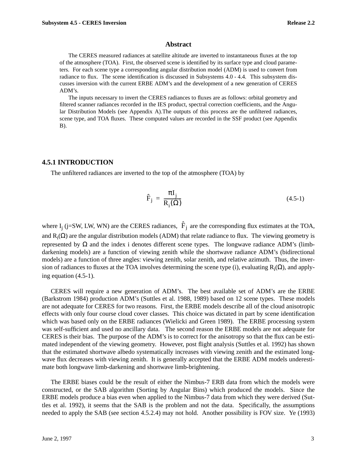#### **Abstract**

The CERES measured radiances at satellite altitude are inverted to instantaneous fluxes at the top of the atmosphere (TOA). First, the observed scene is identified by its surface type and cloud parameters. For each scene type a corresponding angular distribution model (ADM) is used to convert from radiance to flux. The scene identification is discussed in Subsystems 4.0 - 4.4. This subsystem discusses inversion with the current ERBE ADM's and the development of a new generation of CERES ADM's.

The inputs necessary to invert the CERES radiances to fluxes are as follows: orbital geometry and filtered scanner radiances recorded in the IES product, spectral correction coefficients, and the Angular Distribution Models (see Appendix A).The outputs of this process are the unfiltered radiances, scene type, and TOA fluxes. These computed values are recorded in the SSF product (see Appendix B).

### **4.5.1 INTRODUCTION**

The unfiltered radiances are inverted to the top of the atmosphere (TOA) by

$$
\hat{F}_j = \frac{\pi I_j}{R_i(\Omega)}\tag{4.5-1}
$$

where  $I_j$  (j=SW, LW, WN) are the CERES radiances,  $\hat{F}_j$  are the corresponding flux estimates at the TOA, and  $R_i(\Omega)$  are the angular distribution models (ADM) that relate radiance to flux. The viewing geometry is represented by  $Ω$  and the index i denotes different scene types. The longwave radiance ADM's (limbdarkening models) are a function of viewing zenith while the shortwave radiance ADM's (bidirectional models) are a function of three angles: viewing zenith, solar zenith, and relative azimuth. Thus, the inversion of radiances to fluxes at the TOA involves determining the scene type (i), evaluating  $R_i(\Omega)$ , and applying equation (4.5-1).

CERES will require a new generation of ADM's. The best available set of ADM's are the ERBE (Barkstrom 1984) production ADM's (Suttles et al. 1988, 1989) based on 12 scene types. These models are not adequate for CERES for two reasons. First, the ERBE models describe all of the cloud anisotropic effects with only four course cloud cover classes. This choice was dictated in part by scene identification which was based only on the ERBE radiances (Wielicki and Green 1989). The ERBE processing system was self-sufficient and used no ancillary data. The second reason the ERBE models are not adequate for CERES is their bias. The purpose of the ADM's is to correct for the anisotropy so that the flux can be estimated independent of the viewing geometry. However, post flight analysis (Suttles et al. 1992) has shown that the estimated shortwave albedo systematically increases with viewing zenith and the estimated longwave flux decreases with viewing zenith. It is generally accepted that the ERBE ADM models underestimate both longwave limb-darkening and shortwave limb-brightening.

The ERBE biases could be the result of either the Nimbus-7 ERB data from which the models were constructed, or the SAB algorithm (Sorting by Angular Bins) which produced the models. Since the ERBE models produce a bias even when applied to the Nimbus-7 data from which they were derived (Suttles et al. 1992), it seems that the SAB is the problem and not the data. Specifically, the assumptions needed to apply the SAB (see section 4.5.2.4) may not hold. Another possibility is FOV size. Ye (1993)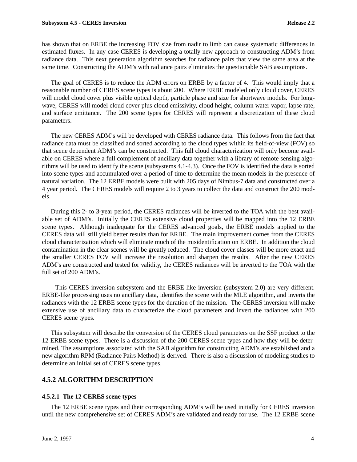has shown that on ERBE the increasing FOV size from nadir to limb can cause systematic differences in estimated fluxes. In any case CERES is developing a totally new approach to constructing ADM's from radiance data. This next generation algorithm searches for radiance pairs that view the same area at the same time. Constructing the ADM's with radiance pairs eliminates the questionable SAB assumptions.

The goal of CERES is to reduce the ADM errors on ERBE by a factor of 4. This would imply that a reasonable number of CERES scene types is about 200. Where ERBE modeled only cloud cover, CERES will model cloud cover plus visible optical depth, particle phase and size for shortwave models. For longwave, CERES will model cloud cover plus cloud emissivity, cloud height, column water vapor, lapse rate, and surface emittance. The 200 scene types for CERES will represent a discretization of these cloud parameters.

The new CERES ADM's will be developed with CERES radiance data. This follows from the fact that radiance data must be classified and sorted according to the cloud types within its field-of-view (FOV) so that scene dependent ADM's can be constructed. This full cloud characterization will only become available on CERES where a full complement of ancillary data together with a library of remote sensing algorithms will be used to identify the scene (subsystems 4.1-4.3). Once the FOV is identified the data is sorted into scene types and accumulated over a period of time to determine the mean models in the presence of natural variation. The 12 ERBE models were built with 205 days of Nimbus-7 data and constructed over a 4 year period. The CERES models will require 2 to 3 years to collect the data and construct the 200 models.

During this 2- to 3-year period, the CERES radiances will be inverted to the TOA with the best available set of ADM's. Initially the CERES extensive cloud properties will be mapped into the 12 ERBE scene types. Although inadequate for the CERES advanced goals, the ERBE models applied to the CERES data will still yield better results than for ERBE. The main improvement comes from the CERES cloud characterization which will eliminate much of the misidentification on ERBE. In addition the cloud contamination in the clear scenes will be greatly reduced. The cloud cover classes will be more exact and the smaller CERES FOV will increase the resolution and sharpen the results. After the new CERES ADM's are constructed and tested for validity, the CERES radiances will be inverted to the TOA with the full set of 200 ADM's.

 This CERES inversion subsystem and the ERBE-like inversion (subsystem 2.0) are very different. ERBE-like processing uses no ancillary data, identifies the scene with the MLE algorithm, and inverts the radiances with the 12 ERBE scene types for the duration of the mission. The CERES inversion will make extensive use of ancillary data to characterize the cloud parameters and invert the radiances with 200 CERES scene types.

This subsystem will describe the conversion of the CERES cloud parameters on the SSF product to the 12 ERBE scene types. There is a discussion of the 200 CERES scene types and how they will be determined. The assumptions associated with the SAB algorithm for constructing ADM's are established and a new algorithm RPM (Radiance Pairs Method) is derived. There is also a discussion of modeling studies to determine an initial set of CERES scene types.

# **4.5.2 ALGORITHM DESCRIPTION**

# **4.5.2.1 The 12 CERES scene types**

The 12 ERBE scene types and their corresponding ADM's will be used initially for CERES inversion until the new comprehensive set of CERES ADM's are validated and ready for use. The 12 ERBE scene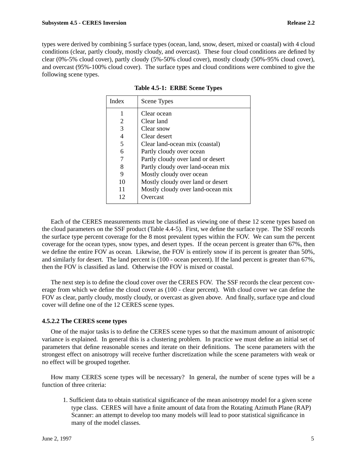types were derived by combining 5 surface types (ocean, land, snow, desert, mixed or coastal) with 4 cloud conditions (clear, partly cloudy, mostly cloudy, and overcast). These four cloud conditions are defined by clear (0%-5% cloud cover), partly cloudy (5%-50% cloud cover), mostly cloudy (50%-95% cloud cover), and overcast (95%-100% cloud cover). The surface types and cloud conditions were combined to give the following scene types.

| Index | Scene Types                       |
|-------|-----------------------------------|
|       | Clear ocean                       |
| 2     | Clear land                        |
| 3     | Clear snow                        |
| 4     | Clear desert                      |
| 5     | Clear land-ocean mix (coastal)    |
| 6     | Partly cloudy over ocean          |
| 7     | Partly cloudy over land or desert |
| 8     | Partly cloudy over land-ocean mix |
| 9     | Mostly cloudy over ocean          |
| 10    | Mostly cloudy over land or desert |
| 11    | Mostly cloudy over land-ocean mix |
| 12    | Overcast                          |

**Table 4.5-1: ERBE Scene Types**

Each of the CERES measurements must be classified as viewing one of these 12 scene types based on the cloud parameters on the SSF product (Table 4.4-5). First, we define the surface type. The SSF records the surface type percent coverage for the 8 most prevalent types within the FOV. We can sum the percent coverage for the ocean types, snow types, and desert types. If the ocean percent is greater than 67%, then we define the entire FOV as ocean. Likewise, the FOV is entirely snow if its percent is greater than 50%, and similarly for desert. The land percent is (100 - ocean percent). If the land percent is greater than 67%, then the FOV is classified as land. Otherwise the FOV is mixed or coastal.

The next step is to define the cloud cover over the CERES FOV. The SSF records the clear percent coverage from which we define the cloud cover as (100 - clear percent). With cloud cover we can define the FOV as clear, partly cloudy, mostly cloudy, or overcast as given above. And finally, surface type and cloud cover will define one of the 12 CERES scene types.

# **4.5.2.2 The CERES scene types**

One of the major tasks is to define the CERES scene types so that the maximum amount of anisotropic variance is explained. In general this is a clustering problem. In practice we must define an initial set of parameters that define reasonable scenes and iterate on their definitions. The scene parameters with the strongest effect on anisotropy will receive further discretization while the scene parameters with weak or no effect will be grouped together.

How many CERES scene types will be necessary? In general, the number of scene types will be a function of three criteria:

1. Sufficient data to obtain statistical significance of the mean anisotropy model for a given scene type class. CERES will have a finite amount of data from the Rotating Azimuth Plane (RAP) Scanner: an attempt to develop too many models will lead to poor statistical significance in many of the model classes.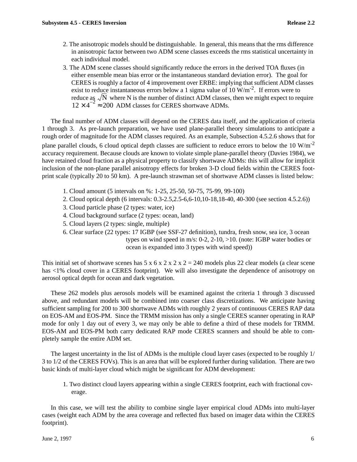- 2. The anisotropic models should be distinguishable. In general, this means that the rms difference in anisotropic factor between two ADM scene classes exceeds the rms statistical uncertainty in each individual model.
- 3. The ADM scene classes should significantly reduce the errors in the derived TOA fluxes (in either ensemble mean bias error or the instantaneous standard deviation error). The goal for CERES is roughly a factor of 4 improvement over ERBE: implying that sufficient ADM classes exist to reduce instantaneous errors below a 1 sigma value of  $10 \text{ W/m}^2$ . If errors were to reduce as  $\sqrt{N}$  where N is the number of distinct ADM classes, then we might expect to require  $12 \times 4^{-2} \approx 200$  ADM classes for CERES shortwave ADMs.

The final number of ADM classes will depend on the CERES data itself, and the application of criteria 1 through 3. As pre-launch preparation, we have used plane-parallel theory simulations to anticipate a rough order of magnitude for the ADM classes required. As an example, Subsection 4.5.2.6 shows that for plane parallel clouds, 6 cloud optical depth classes are sufficient to reduce errors to below the 10 W/m<sup>-2</sup> accuracy requirement. Because clouds are known to violate simple plane-parallel theory (Davies 1984), we have retained cloud fraction as a physical property to classify shortwave ADMs: this will allow for implicit inclusion of the non-plane parallel anisotropy effects for broken 3-D cloud fields within the CERES footprint scale (typically 20 to 50 km). A pre-launch strawman set of shortwave ADM classes is listed below:

- 1. Cloud amount (5 intervals on %: 1-25, 25-50, 50-75, 75-99, 99-100)
- 2. Cloud optical depth (6 intervals: 0.3-2.5,2.5-6,6-10,10-18,18-40, 40-300 (see section 4.5.2.6))
- 3. Cloud particle phase (2 types: water, ice)
- 4. Cloud background surface (2 types: ocean, land)
- 5. Cloud layers (2 types: single, multiple)
- 6. Clear surface (22 types: 17 IGBP (see SSF-27 definition), tundra, fresh snow, sea ice, 3 ocean types on wind speed in m/s: 0-2, 2-10, >10. (note: IGBP water bodies or ocean is expanded into 3 types with wind speed))

This initial set of shortwave scenes has  $5 \times 6 \times 2 \times 2 \times 2 = 240$  models plus 22 clear models (a clear scene has <1% cloud cover in a CERES footprint). We will also investigate the dependence of anisotropy on aerosol optical depth for ocean and dark vegetation.

These 262 models plus aerosols models will be examined against the criteria 1 through 3 discussed above, and redundant models will be combined into coarser class discretizations. We anticipate having sufficient sampling for 200 to 300 shortwave ADMs with roughly 2 years of continuous CERES RAP data on EOS-AM and EOS-PM. Since the TRMM mission has only a single CERES scanner operating in RAP mode for only 1 day out of every 3, we may only be able to define a third of these models for TRMM. EOS-AM and EOS-PM both carry dedicated RAP mode CERES scanners and should be able to completely sample the entire ADM set.

The largest uncertainty in the list of ADMs is the multiple cloud layer cases (expected to be roughly 1/ 3 to 1/2 of the CERES FOVs). This is an area that will be explored further during validation. There are two basic kinds of multi-layer cloud which might be significant for ADM development:

1. Two distinct cloud layers appearing within a single CERES footprint, each with fractional coverage.

In this case, we will test the ability to combine single layer empirical cloud ADMs into multi-layer cases (weight each ADM by the area coverage and reflected flux based on imager data within the CERES footprint).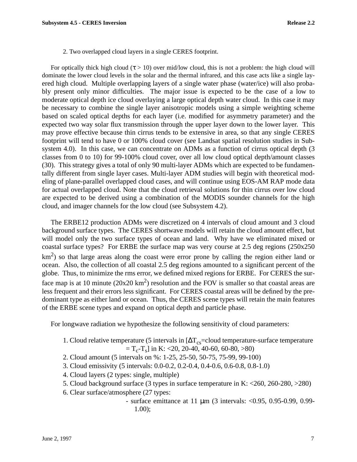2. Two overlapped cloud layers in a single CERES footprint.

For optically thick high cloud ( $\tau > 10$ ) over mid/low cloud, this is not a problem: the high cloud will dominate the lower cloud levels in the solar and the thermal infrared, and this case acts like a single layered high cloud. Multiple overlapping layers of a single water phase (water/ice) will also probably present only minor difficulties. The major issue is expected to be the case of a low to moderate optical depth ice cloud overlaying a large optical depth water cloud. In this case it may be necessary to combine the single layer anisotropic models using a simple weighting scheme based on scaled optical depths for each layer (i.e. modified for asymmetry parameter) and the expected two way solar flux transmission through the upper layer down to the lower layer. This may prove effective because thin cirrus tends to be extensive in area, so that any single CERES footprint will tend to have 0 or 100% cloud cover (see Landsat spatial resolution studies in Subsystem 4.0). In this case, we can concentrate on ADMs as a function of cirrus optical depth (3) classes from 0 to 10) for 99-100% cloud cover, over all low cloud optical depth/amount classes (30). This strategy gives a total of only 90 multi-layer ADMs which are expected to be fundamentally different from single layer cases. Multi-layer ADM studies will begin with theoretical modeling of plane-parallel overlapped cloud cases, and will continue using EOS-AM RAP mode data for actual overlapped cloud. Note that the cloud retrieval solutions for thin cirrus over low cloud are expected to be derived using a combination of the MODIS sounder channels for the high cloud, and imager channels for the low cloud (see Subsystem 4.2).

The ERBE12 production ADMs were discretized on 4 intervals of cloud amount and 3 cloud background surface types. The CERES shortwave models will retain the cloud amount effect, but will model only the two surface types of ocean and land. Why have we eliminated mixed or coastal surface types? For ERBE the surface map was very course at 2.5 deg regions (250x250  $km<sup>2</sup>$ ) so that large areas along the coast were error prone by calling the region either land or ocean. Also, the collection of all coastal 2.5 deg regions amounted to a significant percent of the globe. Thus, to minimize the rms error, we defined mixed regions for ERBE. For CERES the surface map is at 10 minute ( $20x20 \text{ km}^2$ ) resolution and the FOV is smaller so that coastal areas are less frequent and their errors less significant. For CERES coastal areas will be defined by the predominant type as either land or ocean. Thus, the CERES scene types will retain the main features of the ERBE scene types and expand on optical depth and particle phase.

For longwave radiation we hypothesize the following sensitivity of cloud parameters:

- 1. Cloud relative temperature (5 intervals in  $[\Delta T_{\text{cs}}$ =cloud temperature-surface temperature  $T_c$ -T<sub>s</sub>] in K: <20, 20-40, 40-60, 60-80, >80)
- 2. Cloud amount (5 intervals on %: 1-25, 25-50, 50-75, 75-99, 99-100)
- 3. Cloud emissivity (5 intervals: 0.0-0.2, 0.2-0.4, 0.4-0.6, 0.6-0.8, 0.8-1.0)
- 4. Cloud layers (2 types: single, multiple)
- 5. Cloud background surface (3 types in surface temperature in K: <260, 260-280, >280)
- 6. Clear surface/atmosphere (27 types:
	- surface emittance at 11 µm (3 intervals: <0.95, 0.95-0.99, 0.99- 1.00);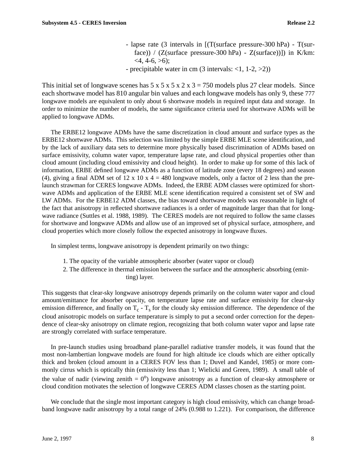- lapse rate (3 intervals in [(T(surface pressure-300 hPa) T(surface)) /  $(Z\text{(surface pressure-300 hPa)} - Z\text{(surface)}$ ]) in K/km:  $<$ 4, 4-6,  $>$ 6);
- precipitable water in cm  $(3$  intervals:  $<1$ ,  $1-2$ ,  $>2$ ))

This initial set of longwave scenes has  $5 \times 5 \times 5 \times 2 \times 3 = 750$  models plus 27 clear models. Since each shortwave model has 810 angular bin values and each longwave models has only 9, these 777 longwave models are equivalent to only about 6 shortwave models in required input data and storage. In order to minimize the number of models, the same significance criteria used for shortwave ADMs will be applied to longwave ADMs.

The ERBE12 longwave ADMs have the same discretization in cloud amount and surface types as the ERBE12 shortwave ADMs. This selection was limited by the simple ERBE MLE scene identification, and by the lack of auxiliary data sets to determine more physically based discrimination of ADMs based on surface emissivity, column water vapor, temperature lapse rate, and cloud physical properties other than cloud amount (including cloud emissivity and cloud height). In order to make up for some of this lack of information, ERBE defined longwave ADMs as a function of latitude zone (every 18 degrees) and season (4), giving a final ADM set of 12 x 10 x 4 = 480 longwave models, only a factor of 2 less than the prelaunch strawman for CERES longwave ADMs. Indeed, the ERBE ADM classes were optimized for shortwave ADMs and application of the ERBE MLE scene identification required a consistent set of SW and LW ADMs. For the ERBE12 ADM classes, the bias toward shortwave models was reasonable in light of the fact that anisotropy in reflected shortwave radiances is a order of magnitude larger than that for longwave radiance (Suttles et al. 1988, 1989). The CERES models are not required to follow the same classes for shortwave and longwave ADMs and allow use of an improved set of physical surface, atmosphere, and cloud properties which more closely follow the expected anisotropy in longwave fluxes.

In simplest terms, longwave anisotropy is dependent primarily on two things:

- 1. The opacity of the variable atmospheric absorber (water vapor or cloud)
- 2. The difference in thermal emission between the surface and the atmospheric absorbing (emitting) layer.

This suggests that clear-sky longwave anisotropy depends primarily on the column water vapor and cloud amount/emittance for absorber opacity, on temperature lapse rate and surface emissivity for clear-sky emission difference, and finally on  $T_c$  -  $T_s$  for the cloudy sky emission difference. The dependence of the cloud anisotropic models on surface temperature is simply to put a second order correction for the dependence of clear-sky anisotropy on climate region, recognizing that both column water vapor and lapse rate are strongly correlated with surface temperature.

In pre-launch studies using broadband plane-parallel radiative transfer models, it was found that the most non-lambertian longwave models are found for high altitude ice clouds which are either optically thick and broken (cloud amount in a CERES FOV less than 1; Duvel and Kandel, 1985) or more commonly cirrus which is optically thin (emissivity less than 1; Wielicki and Green, 1989). A small table of the value of nadir (viewing zenith  $= 0^{\circ}$ ) longwave anisotropy as a function of clear-sky atmosphere or cloud condition motivates the selection of longwave CERES ADM classes chosen as the starting point.

We conclude that the single most important category is high cloud emissivity, which can change broadband longwave nadir anisotropy by a total range of 24% (0.988 to 1.221). For comparison, the difference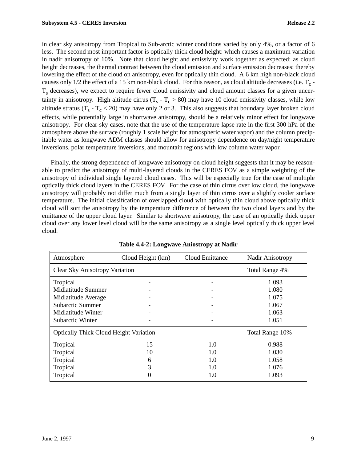in clear sky anisotropy from Tropical to Sub-arctic winter conditions varied by only 4%, or a factor of 6 less. The second most important factor is optically thick cloud height: which causes a maximum variation in nadir anisotropy of 10%. Note that cloud height and emissivity work together as expected: as cloud height decreases, the thermal contrast between the cloud emission and surface emission decreases: thereby lowering the effect of the cloud on anisotropy, even for optically thin cloud. A 6 km high non-black cloud causes only  $1/2$  the effect of a 15 km non-black cloud. For this reason, as cloud altitude decreases (i.e.  $T_c$  - $T<sub>s</sub>$  decreases), we expect to require fewer cloud emissivity and cloud amount classes for a given uncertainty in anisotropy. High altitude cirrus  $(T_s - T_c > 80)$  may have 10 cloud emissivity classes, while low altitude stratus ( $T_s$  -  $T_c$  < 20) may have only 2 or 3. This also suggests that boundary layer broken cloud effects, while potentially large in shortwave anisotropy, should be a relatively minor effect for longwave anisotropy. For clear-sky cases, note that the use of the temperature lapse rate in the first 300 hPa of the atmosphere above the surface (roughly 1 scale height for atmospheric water vapor) and the column precipitable water as longwave ADM classes should allow for anisotropy dependence on day/night temperature inversions, polar temperature inversions, and mountain regions with low column water vapor.

Finally, the strong dependence of longwave anisotropy on cloud height suggests that it may be reasonable to predict the anisotropy of multi-layered clouds in the CERES FOV as a simple weighting of the anisotropy of individual single layered cloud cases. This will be especially true for the case of multiple optically thick cloud layers in the CERES FOV. For the case of thin cirrus over low cloud, the longwave anisotropy will probably not differ much from a single layer of thin cirrus over a slightly cooler surface temperature. The initial classification of overlapped cloud with optically thin cloud above optically thick cloud will sort the anisotropy by the temperature difference of between the two cloud layers and by the emittance of the upper cloud layer. Similar to shortwave anisotropy, the case of an optically thick upper cloud over any lower level cloud will be the same anisotropy as a single level optically thick upper level cloud.

| Atmosphere                                    | Cloud Height (km) | Cloud Emittance | Nadir Anisotropy |
|-----------------------------------------------|-------------------|-----------------|------------------|
| <b>Clear Sky Anisotropy Variation</b>         |                   |                 | Total Range 4%   |
| Tropical                                      |                   |                 | 1.093            |
| Midlatitude Summer                            |                   |                 | 1.080            |
| Midlatitude Average                           |                   |                 | 1.075            |
| Subarctic Summer                              |                   |                 | 1.067            |
| Midlatitude Winter                            |                   |                 | 1.063            |
| <b>Subarctic Winter</b>                       |                   |                 | 1.051            |
| <b>Optically Thick Cloud Height Variation</b> |                   |                 | Total Range 10%  |
| Tropical                                      | 15                | 1.0             | 0.988            |
| Tropical                                      | 10                | 1.0             | 1.030            |
| Tropical                                      | 6                 | 1.0             | 1.058            |
| Tropical                                      | 3                 | 1.0             | 1.076            |
| Tropical                                      |                   | 1.0             | 1.093            |

**Table 4.4-2: Longwave Aniostropy at Nadir**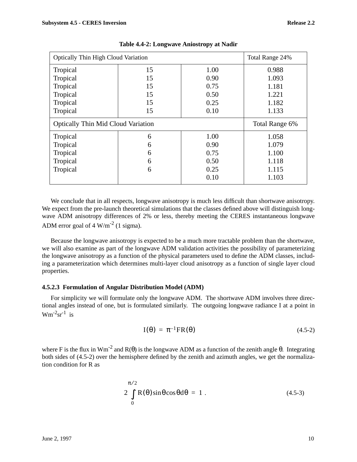| <b>Optically Thin High Cloud Variation</b> |    | Total Range 24% |                |
|--------------------------------------------|----|-----------------|----------------|
| Tropical                                   | 15 | 1.00            | 0.988          |
| Tropical                                   | 15 | 0.90            | 1.093          |
| Tropical                                   | 15 | 0.75            | 1.181          |
| Tropical                                   | 15 | 0.50            | 1.221          |
| Tropical                                   | 15 | 0.25            | 1.182          |
| Tropical                                   | 15 | 0.10            | 1.133          |
| <b>Optically Thin Mid Cloud Variation</b>  |    |                 |                |
|                                            |    |                 | Total Range 6% |
| Tropical                                   | 6  | 1.00            | 1.058          |
| Tropical                                   | 6  | 0.90            | 1.079          |
| Tropical                                   | 6  | 0.75            | 1.100          |
| Tropical                                   | 6  | 0.50            | 1.118          |
| Tropical                                   | 6  | 0.25            | 1.115          |

**Table 4.4-2: Longwave Aniostropy at Nadir**

We conclude that in all respects, longwave anisotropy is much less difficult than shortwave anisotropy. We expect from the pre-launch theoretical simulations that the classes defined above will distinguish longwave ADM anisotropy differences of 2% or less, thereby meeting the CERES instantaneous longwave ADM error goal of  $4 \text{ W/m}^{-2}$  (1 sigma).

Because the longwave anisotropy is expected to be a much more tractable problem than the shortwave, we will also examine as part of the longwave ADM validation activities the possibility of parameterizing the longwave anisotropy as a function of the physical parameters used to define the ADM classes, including a parameterization which determines multi-layer cloud anisotropy as a function of single layer cloud properties.

# **4.5.2.3 Formulation of Angular Distribution Model (ADM)**

For simplicity we will formulate only the longwave ADM. The shortwave ADM involves three directional angles instead of one, but is formulated similarly. The outgoing longwave radiance I at a point in  $Wm^{-2}sr^{-1}$  is

$$
I(\theta) = \pi^{-1}FR(\theta) \qquad (4.5-2)
$$

where F is the flux in Wm<sup>-2</sup> and R( $\theta$ ) is the longwave ADM as a function of the zenith angle  $\theta$ . Integrating both sides of (4.5-2) over the hemisphere defined by the zenith and azimuth angles, we get the normalization condition for R as

$$
2\int_{0}^{\pi/2} R(\theta)\sin\theta\cos\theta d\theta = 1.
$$
 (4.5-3)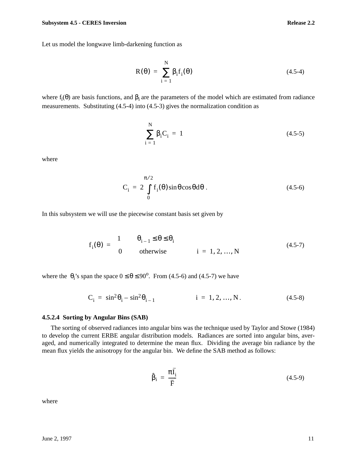$$
R(\theta) = \sum_{i=1}^{N} \beta_i f_i(\theta)
$$
 (4.5-4)

where  $f_i(\theta)$  are basis functions, and  $\beta_i$  are the parameters of the model which are estimated from radiance measurements. Substituting (4.5-4) into (4.5-3) gives the normalization condition as

$$
\sum_{i=1}^{N} \beta_i C_i = 1
$$
 (4.5-5)

where

$$
C_i = 2 \int_{0}^{\pi/2} f_i(\theta) \sin \theta \cos \theta d\theta
$$
 (4.5-6)

In this subsystem we will use the piecewise constant basis set given by

$$
f_i(\theta) = \begin{cases} 1 & \theta_{i-1} \le \theta \le \theta_i \\ 0 & \text{otherwise} \end{cases} \quad i = 1, 2, ..., N \quad (4.5-7)
$$

where the  $\theta_i$ 's span the space  $0 \le \theta \le 90^\circ$ . From (4.5-6) and (4.5-7) we have

$$
C_i = \sin^2 \theta_i - \sin^2 \theta_{i-1} \qquad i = 1, 2, ..., N. \qquad (4.5-8)
$$

### **4.5.2.4 Sorting by Angular Bins (SAB)**

The sorting of observed radiances into angular bins was the technique used by Taylor and Stowe (1984) to develop the current ERBE angular distribution models. Radiances are sorted into angular bins, averaged, and numerically integrated to determine the mean flux. Dividing the average bin radiance by the mean flux yields the anisotropy for the angular bin. We define the SAB method as follows:

 $\overline{a}$ 

$$
\hat{\beta}_i = \frac{\pi I_i}{\bar{F}} \tag{4.5-9}
$$

where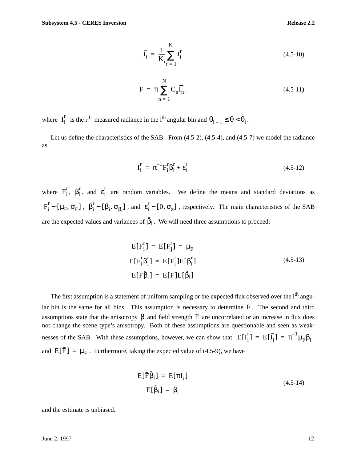$$
\bar{I}_i = \frac{1}{K_i} \sum_{r=1}^{K_i} I_i^r
$$
\n(4.5-10)

$$
\overline{\mathbf{F}} = \pi \sum_{n=1}^{N} \mathbf{C}_n \overline{\mathbf{I}_n}.
$$
 (4.5-11)

where  $I_i^r$  is the r<sup>th</sup> measured radiance in the i<sup>th</sup> angular bin and  $\theta_{i-1} \le \theta < \theta_i$ .

Let us define the characteristics of the SAB. From (4.5-2), (4.5-4), and (4.5-7) we model the radiance as

$$
I_i^r = \pi^{-1} F_i^r \beta_i^r + \varepsilon_i^r
$$
 (4.5-12)

where  $F_i^r$ ,  $\beta_i^r$ , and  $\varepsilon_i^r$  are random variables. We define the means and standard deviations as  $F_i^r \sim [\mu_F, \sigma_F]$ ,  $\beta_i^r \sim [\beta_i, \sigma_{\beta_i}]$ , and  $\epsilon_i^r \sim [0, \sigma_{\epsilon}]$ , respectively. The main characteristics of the SAB are the expected values and variances of  $\hat{\beta}_i$ . We will need three assumptions to proceed:

$$
E[F_i^r] = E[F_j^r] = \mu_F
$$
  
\n
$$
E[F_i^r \beta_i^r] = E[F_i^r]E[\beta_i^r]
$$
  
\n
$$
E[\overline{F}\hat{\beta}_i] = E[\overline{F}]E[\hat{\beta}_i]
$$
\n(4.5-13)

The first assumption is a statement of uniform sampling or the expected flux observed over the i<sup>th</sup> angular bin is the same for all bins. This assumption is necessary to determine F. The second and third assumptions state that the anisotropy  $\beta$  and field strength F are uncorrelated or an increase in flux does not change the scene type's anisotropy. Both of these assumptions are questionable and seen as weaknesses of the SAB. With these assumptions, however, we can show that  $E[I_i^r] = E[\bar{I}_i] = \pi^{-1} \mu_F \beta_i$ and  $E[\bar{F}] = \mu_F$ . Furthermore, taking the expected value of (4.5-9), we have

$$
E[\bar{F}\hat{\beta}_i] = E[\pi\bar{I}_i]
$$
  
\n
$$
E[\hat{\beta}_i] = \beta_i
$$
 (4.5-14)

and the estimate is unbiased.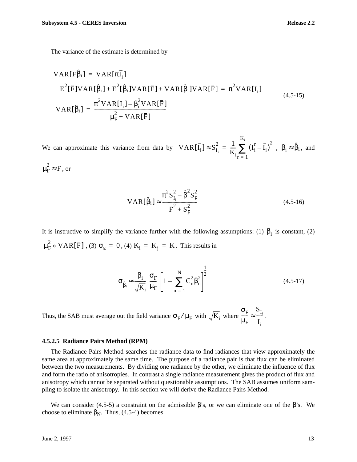The variance of the estimate is determined by

VAR[
$$
\overline{F}\hat{\beta}_i
$$
] = VAR[ $\pi\overline{I}_i$ ]  
\n
$$
E^2[\overline{F}]VAR[\hat{\beta}_i] + E^2[\hat{\beta}_i]VAR[\overline{F}] + VAR[\hat{\beta}_i]VAR[\overline{F}] = \pi^2 VAR[\overline{I}_i]
$$
\n
$$
VAR[\hat{\beta}_i] = \frac{\pi^2 VAR[\overline{I}_i] - \beta_i^2VAR[\overline{F}]}{\mu_F^2 + VAR[\overline{F}]}
$$
\n(4.5-15)

We can approximate this variance from data by  $VAR[\overline{I}_i] \approx S_{I_i}^2 = \frac{1}{K} \sum_{i=1}^{K} (I_i - \overline{I}_i)^2$ ,  $\beta_i \approx \hat{\beta}_i$ , and  $\mu_{\rm F}^2 \approx \bar{\rm F}$ , or  $\frac{1}{K_i} \sum_{r=1}^{I} (I_i^r - \bar{I}_i)^2$  $r = 1$  $K_i$  $=\frac{1}{K}\sum_{i}(\mathbf{I}_{i}^{\mathrm{r}}-\overline{\mathbf{I}}_{i})^{2}$ ,  $\beta_{i}\approx\hat{\beta}_{i}$ 

$$
VAR[\hat{\beta}_{i}] \approx \frac{\pi^{2} S_{I_{i}}^{2} - \hat{\beta}_{i}^{2} S_{\bar{F}}^{2}}{\bar{F}^{2} + S_{\bar{F}}^{2}}
$$
(4.5-16)

It is instructive to simplify the variance further with the following assumptions: (1)  $\beta_i$  is constant, (2)  $\mu_F^2 \gg \mathrm{VAR}[\bar{\mathrm{F}}]$  , (3)  $\sigma_{\varepsilon} = 0$  , (4)  $\mathrm{K}^{\phantom{\dag}}_i = \mathrm{K}^{\phantom{\dag}}_j = \mathrm{K}$  . This results in

$$
\sigma_{\hat{\beta}_i} \approx \frac{\beta_i}{\sqrt{K_i}} \left(\frac{\sigma_F}{\mu_F}\right) \left[1 - \sum_{n=1}^N C_n^2 \beta_n^2\right]^{\frac{1}{2}}
$$
(4.5-17)

Thus, the SAB must average out the field variance  $\sigma_{\rm F}/\mu_{\rm F}$  with  $\sqrt{K_i}$  where  $\frac{1}{\Gamma} \approx \frac{1}{\Gamma}$ .  $\sigma_{\rm F}$  $\mu_F^{}$  $\frac{\sigma_F}{\sigma} \approx \frac{S_{I_i}}{\sigma}$  $I_i$  $\approx -\frac{1}{2}$ 

#### **4.5.2.5 Radiance Pairs Method (RPM)**

The Radiance Pairs Method searches the radiance data to find radiances that view approximately the same area at approximately the same time. The purpose of a radiance pair is that flux can be eliminated between the two measurements. By dividing one radiance by the other, we eliminate the influence of flux and form the ratio of anisotropies. In contrast a single radiance measurement gives the product of flux and anisotropy which cannot be separated without questionable assumptions. The SAB assumes uniform sampling to isolate the anisotropy. In this section we will derive the Radiance Pairs Method.

We can consider (4.5-5) a constraint on the admissible  $\beta$ 's, or we can eliminate one of the  $\beta$ 's. We choose to eliminate  $\beta_N$ . Thus, (4.5-4) becomes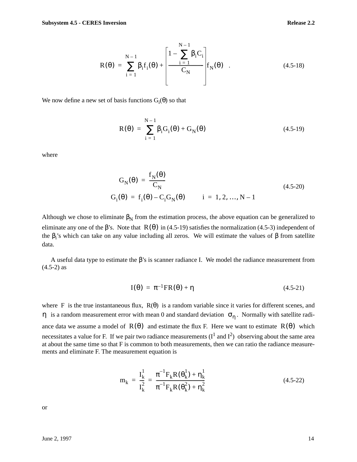$$
R(\theta) = \sum_{i=1}^{N-1} \beta_i f_i(\theta) + \left[ \frac{1 - \sum_{i=1}^{N-1} \beta_i C_i}{C_N} \right] f_N(\theta) .
$$
 (4.5-18)

We now define a new set of basis functions  $G_i(\theta)$  so that

$$
R(\theta) = \sum_{i=1}^{N-1} \beta_i G_i(\theta) + G_N(\theta)
$$
 (4.5-19)

where

$$
G_N(\theta) = \frac{f_N(\theta)}{C_N}
$$
  
\n
$$
G_i(\theta) = f_i(\theta) - C_i G_N(\theta) \qquad i = 1, 2, ..., N - 1
$$
\n(4.5-20)

Although we chose to eliminate  $\beta_N$  from the estimation process, the above equation can be generalized to eliminate any one of the  $\beta$ 's. Note that  $R(\theta)$  in (4.5-19) satisfies the normalization (4.5-3) independent of the  $\beta_i$ 's which can take on any value including all zeros. We will estimate the values of  $\beta$  from satellite data.

A useful data type to estimate the β's is scanner radiance I. We model the radiance measurement from  $(4.5-2)$  as

$$
I(\theta) = \pi^{-1}FR(\theta) + \eta \qquad (4.5-21)
$$

where F is the true instantaneous flux,  $R(\theta)$  is a random variable since it varies for different scenes, and  $η$  is a random measurement error with mean 0 and standard deviation  $σ<sub>η</sub>$ . Normally with satellite radiance data we assume a model of  $R(\theta)$  and estimate the flux F. Here we want to estimate  $R(\theta)$  which necessitates a value for F. If we pair two radiance measurements  $(I^1 \text{ and } I^2)$  observing about the same area at about the same time so that F is common to both measurements, then we can ratio the radiance measurements and eliminate F. The measurement equation is

$$
m_{k} = \frac{I_{k}^{1}}{I_{k}^{2}} = \frac{\pi^{-1}F_{k}R(\theta_{k}^{1}) + \eta_{k}^{1}}{\pi^{-1}F_{k}R(\theta_{k}^{2}) + \eta_{k}^{2}}
$$
(4.5-22)

or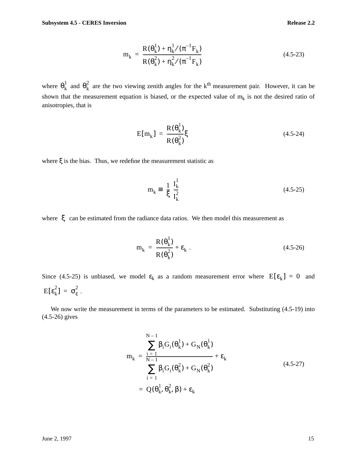$$
m_{k} = \frac{R(\theta_{k}^{1}) + \eta_{k}^{1}/(\pi^{-1}F_{k})}{R(\theta_{k}^{2}) + \eta_{k}^{2}/(\pi^{-1}F_{k})}
$$
(4.5-23)

where  $\theta_k^1$  and  $\theta_k^2$  are the two viewing zenith angles for the k<sup>th</sup> measurement pair. However, it can be shown that the measurement equation is biased, or the expected value of  $m_k$  is not the desired ratio of anisotropies, that is

$$
E[m_k] = \frac{R(\theta_k^1)}{R(\theta_k^2)} \xi \tag{4.5-24}
$$

where ξ is the bias. Thus, we redefine the measurement statistic as

$$
m_k = \left(\frac{1}{\xi}\right) \frac{I_k^1}{I_k^2}
$$
 (4.5-25)

where  $\xi$  can be estimated from the radiance data ratios. We then model this measurement as

$$
m_k = \frac{R(\theta_k^1)}{R(\theta_k^2)} + \varepsilon_k.
$$
 (4.5-26)

Since (4.5-25) is unbiased, we model  $\varepsilon_k$  as a random measurement error where  $E[\varepsilon_k] = 0$  and  $E[\epsilon_k^2] = \sigma_{\epsilon}^2$ .

We now write the measurement in terms of the parameters to be estimated. Substituting (4.5-19) into (4.5-26) gives

$$
m_k = \frac{\sum_{N=1}^{N-1} \beta_i G_i(\theta_k^1) + G_N(\theta_k^1)}{\sum_{i=1}^{N-1} \beta_i G_i(\theta_k^2) + G_N(\theta_k^2)} + \varepsilon_k
$$
  
=  $Q(\theta_k^1, \theta_k^2, \beta) + \varepsilon_k$  (4.5-27)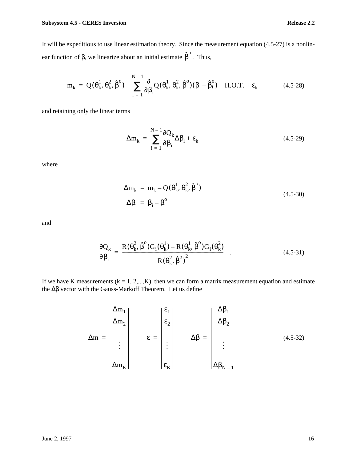It will be expeditious to use linear estimation theory. Since the measurement equation (4.5-27) is a nonlinear function of β, we linearize about an initial estimate  $\hat{\beta}^{\text{o}}$ . Thus,

$$
\mathbf{m}_{k} = \mathbf{Q}(\theta_{k}^{1}, \theta_{k}^{2}, \hat{\beta}^{o}) + \sum_{i=1}^{N-1} \frac{\partial}{\partial \beta_{i}} \mathbf{Q}(\theta_{k}^{1}, \theta_{k}^{2}, \hat{\beta}^{o})(\beta_{i} - \hat{\beta}_{i}^{o}) + \text{H.O.T.} + \varepsilon_{k}
$$
(4.5-28)

and retaining only the linear terms

$$
\Delta m_k = \sum_{i=1}^{N-1} \frac{\partial Q_k}{\partial \beta_i} \Delta \beta_i + \varepsilon_k
$$
 (4.5-29)

where

$$
\Delta m_k = m_k - Q(\theta_k^1, \theta_k^2, \hat{\beta}^0)
$$
  
\n
$$
\Delta \beta_i = \beta_i - \beta_i^0
$$
\n(4.5-30)

and

$$
\frac{\partial Q_k}{\partial \beta_i} = \frac{R(\theta_k^2, \hat{\beta}^0)G_i(\theta_k^1) - R(\theta_k^1, \hat{\beta}^0)G_i(\theta_k^2)}{R(\theta_k^2, \hat{\beta}^0)^2} \quad . \tag{4.5-31}
$$

If we have K measurements  $(k = 1, 2,...,K)$ , then we can form a matrix measurement equation and estimate the ∆β vector with the Gauss-Markoff Theorem. Let us define

$$
\Delta m = \begin{bmatrix} \Delta m_1 \\ \Delta m_2 \\ \vdots \\ \Delta m_K \end{bmatrix} \qquad \varepsilon = \begin{bmatrix} \varepsilon_1 \\ \varepsilon_2 \\ \vdots \\ \varepsilon_K \end{bmatrix} \qquad \Delta \beta = \begin{bmatrix} \Delta \beta_1 \\ \Delta \beta_2 \\ \vdots \\ \Delta \beta_{N-1} \end{bmatrix} \qquad (4.5-32)
$$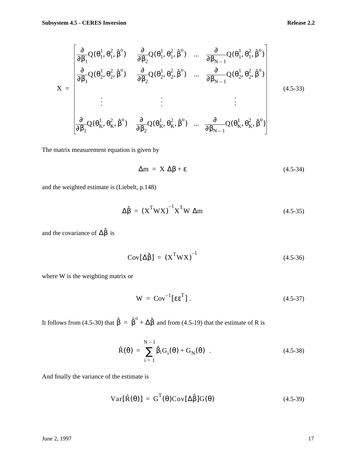$$
X = \begin{bmatrix} \frac{\partial}{\partial \beta_1} Q(\theta_1^1, \theta_1^2, \hat{\beta}^0) & \frac{\partial}{\partial \beta_2} Q(\theta_1^1, \theta_1^2, \hat{\beta}^0) & \dots & \frac{\partial}{\partial \beta_{N-1}} Q(\theta_1^1, \theta_1^2, \hat{\beta}^0) \\ \frac{\partial}{\partial \beta_1} Q(\theta_2^1, \theta_2^2, \hat{\beta}^0) & \frac{\partial}{\partial \beta_2} Q(\theta_2^1, \theta_2^2, \hat{\beta}^0) & \dots & \frac{\partial}{\partial \beta_{N-1}} Q(\theta_2^1, \theta_2^2, \hat{\beta}^0) \\ \vdots & \vdots & \vdots & \vdots \\ \frac{\partial}{\partial \beta_1} Q(\theta_K^1, \theta_K^2, \hat{\beta}^0) & \frac{\partial}{\partial \beta_2} Q(\theta_K^1, \theta_K^2, \hat{\beta}^0) & \dots & \frac{\partial}{\partial \beta_{N-1}} Q(\theta_K^1, \theta_K^2, \hat{\beta}^0) \end{bmatrix}
$$
(4.5-33)

The matrix measurement equation is given by

$$
\Delta m = X \Delta \beta + \varepsilon \tag{4.5-34}
$$

and the weighted estimate is (Liebelt, p.148)

$$
\Delta \hat{\beta} = (X^{\mathrm{T}} W X)^{-1} X^{\mathrm{T}} W \; \Delta m \tag{4.5-35}
$$

and the covariance of  $\Delta \hat{\beta}$  is

$$
Cov[\Delta \hat{\beta}] = (X^T W X)^{-1}
$$
 (4.5-36)

where W is the weighting matrix or

$$
W = Cov^{-1}[\epsilon \epsilon^{T}]. \qquad (4.5-37)
$$

It follows from (4.5-30) that  $\hat{\beta} = \hat{\beta}^{\circ} + \Delta \hat{\beta}$  and from (4.5-19) that the estimate of R is

$$
\hat{R}(\theta) = \sum_{i=1}^{N-1} \hat{\beta}_i G_i(\theta) + G_N(\theta) .
$$
 (4.5-38)

And finally the variance of the estimate is

$$
Var[\hat{R}(\theta)] = G^{T}(\theta)Cov[\Delta \hat{\beta}]G(\theta)
$$
 (4.5-39)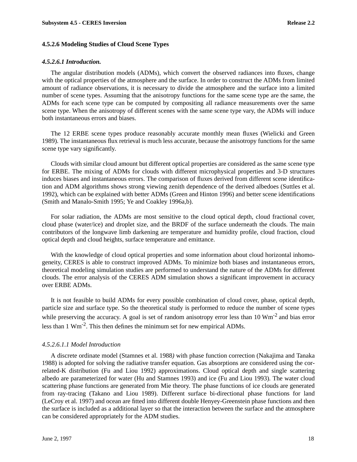#### **4.5.2.6 Modeling Studies of Cloud Scene Types**

#### *4.5.2.6.1 Introduction.*

The angular distribution models (ADMs), which convert the observed radiances into fluxes, change with the optical properties of the atmosphere and the surface. In order to construct the ADMs from limited amount of radiance observations, it is necessary to divide the atmosphere and the surface into a limited number of scene types. Assuming that the anisotropy functions for the same scene type are the same, the ADMs for each scene type can be computed by compositing all radiance measurements over the same scene type. When the anisotropy of different scenes with the same scene type vary, the ADMs will induce both instantaneous errors and biases.

The 12 ERBE scene types produce reasonably accurate monthly mean fluxes (Wielicki and Green 1989). The instantaneous flux retrieval is much less accurate, because the anisotropy functions for the same scene type vary significantly.

Clouds with similar cloud amount but different optical properties are considered as the same scene type for ERBE. The mixing of ADMs for clouds with different microphysical properties and 3-D structures induces biases and instantaneous errors. The comparison of fluxes derived from different scene identification and ADM algorithms shows strong viewing zenith dependence of the derived albedoes (Suttles et al. 1992), which can be explained with better ADMs (Green and Hinton 1996) and better scene identifications (Smith and Manalo-Smith 1995; Ye and Coakley 1996a,b).

For solar radiation, the ADMs are most sensitive to the cloud optical depth, cloud fractional cover, cloud phase (water/ice) and droplet size, and the BRDF of the surface underneath the clouds. The main contributors of the longwave limb darkening are temperature and humidity profile, cloud fraction, cloud optical depth and cloud heights, surface temperature and emittance.

With the knowledge of cloud optical properties and some information about cloud horizontal inhomogeneity, CERES is able to construct improved ADMs. To minimize both biases and instantaneous errors, theoretical modeling simulation studies are performed to understand the nature of the ADMs for different clouds. The error analysis of the CERES ADM simulation shows a significant improvement in accuracy over ERBE ADMs.

It is not feasible to build ADMs for every possible combination of cloud cover, phase, optical depth, particle size and surface type. So the theoretical study is performed to reduce the number of scene types while preserving the accuracy. A goal is set of random anisotropy error less than 10 Wm<sup>-2</sup> and bias error less than 1 Wm-2. This then defines the minimum set for new empirical ADMs.

#### *4.5.2.6.1.1 Model Introduction*

A discrete ordinate model (Stamnes et al. 1988*)* with phase function correction (Nakajima and Tanaka 1988) is adopted for solving the radiative transfer equation. Gas absorptions are considered using the correlated-K distribution (Fu and Liou 1992) approximations. Cloud optical depth and single scattering albedo are parameterized for water (Hu and Stamnes 1993) and ice (Fu and Liou 1993). The water cloud scattering phase functions are generated from Mie theory. The phase functions of ice clouds are generated from ray-tracing (Takano and Liou 1989). Different surface bi-directional phase functions for land (LeCroy et al. 1997) and ocean are fitted into different double Henyey-Greenstein phase functions and then the surface is included as a additional layer so that the interaction between the surface and the atmosphere can be considered appropriately for the ADM studies.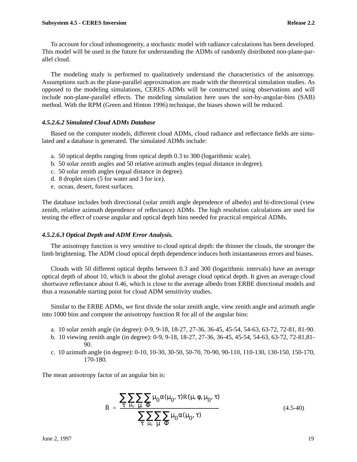To account for cloud inhomogeneity, a stochastic model with radiance calculations has been developed. This model will be used in the future for understanding the ADMs of randomly distributed non-plane-parallel cloud.

The modeling study is performed to qualitatively understand the characteristics of the anisotropy. Assumptions such as the plane-parallel approximation are made with the theoretical simulation studies. As opposed to the modeling simulations, CERES ADMs will be constructed using observations and will include non-plane-parallel effects. The modeling simulation here uses the sort-by-angular-bins (SAB) method. With the RPM (Green and Hinton 1996) technique, the biases shown will be reduced.

# *4.5.2.6.2 Simulated Cloud ADMs Database*

Based on the computer models, different cloud ADMs, cloud radiance and reflectance fields are simulated and a database is generated. The simulated ADMs include:

- a. 50 optical depths ranging from optical depth 0.3 to 300 (logarithmic scale).
- b. 50 solar zenith angles and 50 relative azimuth angles (equal distance in degree).
- c. 50 solar zenith angles (equal distance in degree).
- d. 8 droplet sizes (5 for water and 3 for ice).
- e. ocean, desert, forest surfaces.

The database includes both directional (solar zenith angle dependence of albedo) and bi-directional (view zenith, relative azimuth dependence of reflectance) ADMs. The high resolution calculations are used for testing the effect of coarse angular and optical depth bins needed for practical empirical ADMs.

#### *4.5.2.6.3 Optical Depth and ADM Error Analysis.*

The anisotropy function is very sensitive to cloud optical depth: the thinner the clouds, the stronger the limb brightening. The ADM cloud optical depth dependence induces both instantaneous errors and biases.

Clouds with 50 different optical depths between 0.3 and 300 (logarithmic intervals) have an average optical depth of about 10, which is about the global average cloud optical depth. It gives an average cloud shortwave reflectance about 0.46, which is close to the average albedo from ERBE directional models and thus a reasonable starting point for cloud ADM sensitivity studies.

Similar to the ERBE ADMs, we first divide the solar zenith angle, view zenith angle and azimuth angle into 1000 bins and compute the anisotropy function R for all of the angular bins:

- a. 10 solar zenith angle (in degree): 0-9, 9-18, 18-27, 27-36, 36-45, 45-54, 54-63, 63-72, 72-81, 81-90.
- b. 10 viewing zenith angle (in degree): 0-9, 9-18, 18-27, 27-36, 36-45, 45-54, 54-63, 63-72, 72-81,81- 90.
- c. 10 azimuth angle (in degree): 0-10, 10-30, 30-50, 50-70, 70-90, 90-110, 110-130, 130-150, 150-170, 170-180.

The mean anisotropy factor of an angular bin is:

$$
\overline{R} = \frac{\sum_{\tau} \sum_{\mu_0} \sum_{\mu} \sum_{\theta} \mu_0 \alpha(\mu_0, \tau) R(\mu, \phi, \mu_0, \tau)}{\sum_{\tau} \sum_{\mu_0} \sum_{\mu} \sum_{\theta} \mu_0 \alpha(\mu_0, \tau)}
$$
(4.5-40)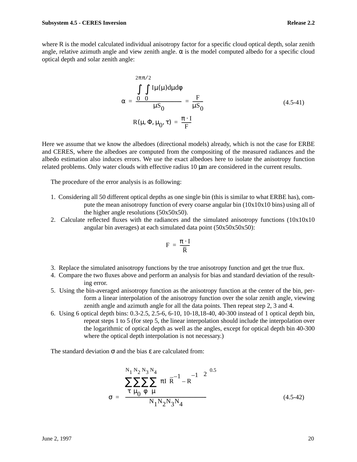where R is the model calculated individual anisotropy factor for a specific cloud optical depth, solar zenith angle, relative azimuth angle and view zenith angle.  $\alpha$  is the model computed albedo for a specific cloud optical depth and solar zenith angle:

$$
\alpha = \frac{\int \int \int I\mu(\mu)d\mu d\phi}{\mu S_0} = \frac{F}{\mu S_0}
$$
\n
$$
R(\mu, \Phi, \mu_0, \tau) = \frac{\pi \cdot I}{F}
$$
\n(4.5-41)

Here we assume that we know the albedoes (directional models) already, which is not the case for ERBE and CERES, where the albedoes are computed from the compositing of the measured radiances and the albedo estimation also induces errors. We use the exact albedoes here to isolate the anisotropy function related problems. Only water clouds with effective radius 10 µm are considered in the current results.

The procedure of the error analysis is as following:

- 1. Considering all 50 different optical depths as one single bin (this is similar to what ERBE has), compute the mean anisotropy function of every coarse angular bin  $(10x10x10 \text{ bins})$  using all of the higher angle resolutions (50x50x50).
- 2. Calculate reflected fluxes with the radiances and the simulated anisotropy functions  $(10x10x10$ angular bin averages) at each simulated data point (50x50x50x50):

$$
F = \frac{\pi \cdot I}{\overline{R}}
$$

- 3. Replace the simulated anisotropy functions by the true anisotropy function and get the true flux.
- 4. Compare the two fluxes above and perform an analysis for bias and standard deviation of the resulting error.
- 5. Using the bin-averaged anisotropy function as the anisotropy function at the center of the bin, perform a linear interpolation of the anisotropy function over the solar zenith angle, viewing zenith angle and azimuth angle for all the data points. Then repeat step 2, 3 and 4.
- 6. Using 6 optical depth bins: 0.3-2.5, 2.5-6, 6-10, 10-18,18-40, 40-300 instead of 1 optical depth bin, repeat steps 1 to 5 (for step 5, the linear interpolation should include the interpolation over the logarithmic of optical depth as well as the angles, except for optical depth bin 40-300 where the optical depth interpolation is not necessary.)

The standard deviation  $\sigma$  and the bias  $\varepsilon$  are calculated from:

$$
\sigma = \left(\frac{\sum_{\tau}^{N_1} \sum_{\mu_0}^{N_2} \sum_{\mu_1}^{N_3} \left(\pi I \left(\bar{R}^{-1} - R^{-1}\right)\right)^2}{\pi \mu_0 \phi \mu} \right)^{0.5}
$$
\n(4.5-42)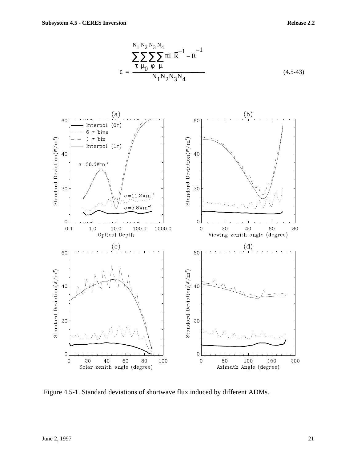$$
\varepsilon = \frac{\sum_{\tau}^{N_1} \sum_{\mu_0}^{N_2} \sum_{\mu_1}^{N_3} \pi I \left(\overline{R}^{-1} - R^{-1}\right)}{N_1 N_2 N_3 N_4}
$$
(4.5-43)



Figure 4.5-1. Standard deviations of shortwave flux induced by different ADMs.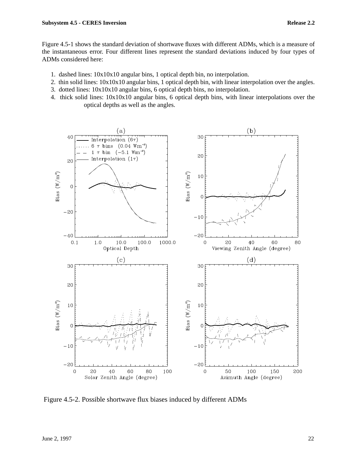Figure 4.5-1 shows the standard deviation of shortwave fluxes with different ADMs, which is a measure of the instantaneous error. Four different lines represent the standard deviations induced by four types of ADMs considered here:

- 1. dashed lines: 10x10x10 angular bins, 1 optical depth bin, no interpolation.
- 2. thin solid lines: 10x10x10 angular bins, 1 optical depth bin, with linear interpolation over the angles.
- 3. dotted lines: 10x10x10 angular bins, 6 optical depth bins, no interpolation.
- 4. thick solid lines: 10x10x10 angular bins, 6 optical depth bins, with linear interpolations over the optical depths as well as the angles.



Figure 4.5-2. Possible shortwave flux biases induced by different ADMs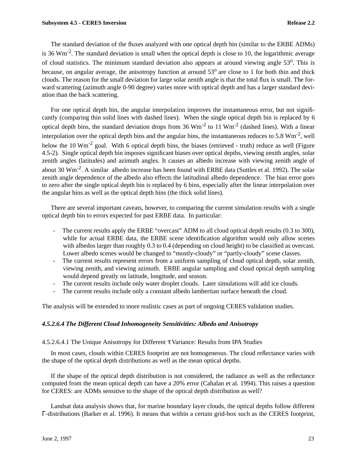The standard deviation of the fluxes analyzed with one optical depth bin (similar to the ERBE ADMs) is 36 Wm<sup>-2</sup>. The standard deviation is small when the optical depth is close to 10, the logarithmic average of cloud statistics. The minimum standard deviation also appears at around viewing angle 53<sup>o</sup>. This is because, on angular average, the anisotropy function at around  $53^\circ$  are close to 1 for both thin and thick clouds. The reason for the small deviation for large solar zenith angle is that the total flux is small. The forward scattering (azimuth angle 0-90 degree) varies more with optical depth and has a larger standard deviation than the back scattering.

For one optical depth bin, the angular interpolation improves the instantaneous error, but not significantly (comparing thin solid lines with dashed lines). When the single optical depth bin is replaced by 6 optical depth bins, the standard deviation drops from 36  $Wm^{-2}$  to 11  $Wm^{-2}$  (dashed lines). With a linear interpolation over the optical depth bins and the angular bins, the instantaneous reduces to 5.8  $Wm^{-2}$ , well below the 10  $Wm^{-2}$  goal. With 6 optical depth bins, the biases (retrieved - truth) reduce as well (Figure 4.5-2). Single optical depth bin imposes significant biases over optical depths, viewing zenith angles, solar zenith angles (latitudes) and azimuth angles. It causes an albedo increase with viewing zenith angle of about 30 Wm-2. A similar albedo increase has been found with ERBE data (Suttles et al. 1992). The solar zenith angle dependence of the albedo also effects the latitudinal albedo dependence. The bias error goes to zero after the single optical depth bin is replaced by 6 bins, especially after the linear interpolation over the angular bins as well as the optical depth bins (the thick solid lines).

There are several important caveats, however, to comparing the current simulation results with a single optical depth bin to errors expected for past ERBE data. In particular:

- The current results apply the ERBE "overcast" ADM to all cloud optical depth results (0.3 to 300), while for actual ERBE data, the ERBE scene identification algorithm would only allow scenes with albedos larger than roughly 0.3 to 0.4 (depending on cloud height) to be classified as overcast. Lower albedo scenes would be changed to "mostly-cloudy" or "partly-cloudy" scene classes.
- The current results represent errors from a uniform sampling of cloud optical depth, solar zenith, viewing zenith, and viewing azimuth. ERBE angular sampling and cloud optical depth sampling would depend greatly on latitude, longitude, and season.
- The current results include only water droplet clouds. Later simulations will add ice clouds.
- The current results include only a constant albedo lambertian surface beneath the cloud.

The analysis will be extended to more realistic cases as part of ongoing CERES validation studies.

# *4.5.2.6.4 The Different Cloud Inhomogeneity Sensitivities: Albedo and Anisotropy*

# 4.5.2.6.4.1 The Unique Anisotropy for Different τ Variance: Results from IPA Studies

In most cases, clouds within CERES footprint are not homogeneous. The cloud reflectance varies with the shape of the optical depth distributions as well as the mean optical depths.

If the shape of the optical depth distribution is not considered, the radiance as well as the reflectance computed from the mean optical depth can have a 20% error (Cahalan et al. 1994). This raises a question for CERES: are ADMs sensitive to the shape of the optical depth distribution as well?

Landsat data analysis shows that, for marine boundary layer clouds, the optical depths follow different Γ-distributions (Barker et al. 1996). It means that within a certain grid-box such as the CERES footprint,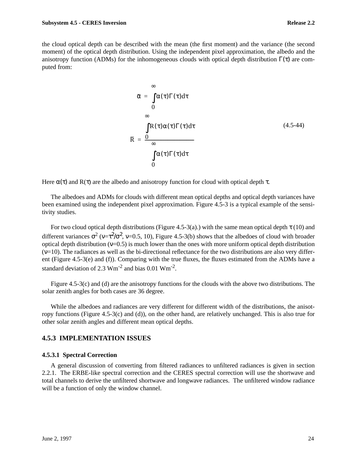the cloud optical depth can be described with the mean (the first moment) and the variance (the second moment) of the optical depth distribution. Using the independent pixel approximation, the albedo and the anisotropy function (ADMs) for the inhomogeneous clouds with optical depth distribution  $\Gamma(\tau)$  are computed from:

$$
\bar{\alpha} = \int_{0}^{\infty} \alpha(\tau) \Gamma(\tau) d\tau
$$
\n  
\n0\n  
\n
$$
\bar{R} = \frac{\int_{0}^{\infty} R(\tau) \alpha(\tau) \Gamma(\tau) d\tau}{\int_{0}^{\infty} \alpha(\tau) \Gamma(\tau) d\tau}
$$
\n(4.5-44)

Here  $\alpha(\tau)$  and  $R(\tau)$  are the albedo and anisotropy function for cloud with optical depth  $\tau$ .

The albedoes and ADMs for clouds with different mean optical depths and optical depth variances have been examined using the independent pixel approximation. Figure 4.5-3 is a typical example of the sensitivity studies.

For two cloud optical depth distributions (Figure 4.5-3(a).) with the same mean optical depth  $\tau$  (10) and different variances  $\sigma^2$  (v= $\tau^2/\sigma^2$ , v=0.5, 10), Figure 4.5-3(b) shows that the albedoes of cloud with broader optical depth distribution ( $v=0.5$ ) is much lower than the ones with more uniform optical depth distribution  $(v=10)$ . The radiances as well as the bi-directional reflectance for the two distributions are also very different (Figure 4.5-3(e) and (f)). Comparing with the true fluxes, the fluxes estimated from the ADMs have a standard deviation of 2.3  $\text{Wm}^{-2}$  and bias 0.01  $\text{Wm}^{-2}$ .

Figure 4.5-3(c) and (d) are the anisotropy functions for the clouds with the above two distributions. The solar zenith angles for both cases are 36 degree.

While the albedoes and radiances are very different for different width of the distributions, the anisotropy functions (Figure 4.5-3(c) and (d)), on the other hand, are relatively unchanged. This is also true for other solar zenith angles and different mean optical depths.

# **4.5.3 IMPLEMENTATION ISSUES**

#### **4.5.3.1 Spectral Correction**

A general discussion of converting from filtered radiances to unfiltered radiances is given in section 2.2.1. The ERBE-like spectral correction and the CERES spectral correction will use the shortwave and total channels to derive the unfiltered shortwave and longwave radiances. The unfiltered window radiance will be a function of only the window channel.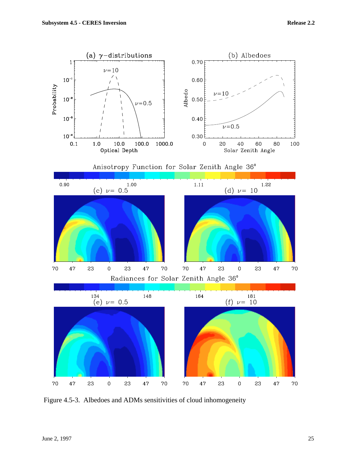

Figure 4.5-3. Albedoes and ADMs sensitivities of cloud inhomogeneity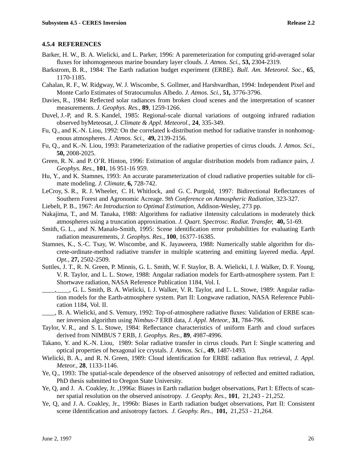### **4.5.4 REFERENCES**

- Barker, H. W., B. A. Wielicki, and L. Parker, 1996: A paremeterization for computing grid-averaged solar fluxes for inhomogeneous marine boundary layer clouds. *J. Atmos. Sci.,* **53,** 2304-2319.
- Barkstrom, B. R., 1984: The Earth radiation budget experiment (ERBE). *Bull. Am. Meteorol. Soc.,* **65**, 1170-1185.
- Cahalan, R. F., W. Ridgway, W. J. Wiscombe, S. Gollmer, and Harshvardhan, 1994: Independent Pixel and Monte Carlo Estimates of Stratocumulus Albedo. *J. Atmos. Sci.,* **51***,* 3776-3796.
- Davies, R., 1984: Reflected solar radiances from broken cloud scenes and the interpretation of scanner measurements. *J. Geophys. Res.,* **89**, 1259-1266.
- Duvel, J.-P, and R. S. Kandel, 1985: Regional-scale diurnal variations of outgoing infrared radiation observed byMeteosat, *J. Climate & Appl. Meteorol.*, **24**, 335-349.
- Fu, Q., and K.-N. Liou, 1992: On the correlated k-distribution method for radiative transfer in nonhomogenous atmospheres. *J. Atmos. Sci.,* **49,** 2139-2156.
- Fu, Q., and K.-N. Liou, 1993: Parameterization of the radiative properties of cirrus clouds. *J. Atmos. Sci.,* **50,** 2008-2025.
- Green, R. N. and P. O'R. Hinton, 1996: Estimation of angular distribution models from radiance pairs, *J. Geophys. Res.,* **101**, 16 951-16 959.
- Hu, Y., and K. Stamnes, 1993: An accurate parameterization of cloud radiative properties suitable for climate modeling. *J. Climate,* **6,** 728-742.
- LeCroy, S. R., R. J. Wheeler, C. H. Whitlock, and G. C. Purgold, 1997: Bidirectional Reflectances of Southern Forest and Agronomic Acreage. *9th Conference on Atmospheric Radiation,* 323-327.
- Liebelt, P. B., 1967: *An Introduction to Optimal Estimation*, Addison-Wesley, 273 pp.
- Nakajima, T., and M. Tanaka, 1988: Algorithms for radiative iIntensity calculations in moderately thick atmospheres using a truncation approximation. *J. Quart. Spectrosc. Radiat. Transfer,* **40,** 51-69.
- Smith, G. L., and N. Manalo-Smith, 1995: Scene identification error probabilities for evaluating Earth radiation measurements, *J. Geophys. Res.,* **100**, 16377-16385.
- Stamnes, K., S.-C. Tsay, W. Wiscombe, and K. Jayaweera, 1988: Numerically stable algorithm for discrete-ordinate-method radiative transfer in multiple scattering and emitting layered media. *Appl. Opt.,* **27,** 2502-2509.
- Suttles, J. T., R. N. Green, P. Minnis, G. L. Smith, W. F. Staylor, B. A. Wielicki, I. J. Walker, D. F. Young, V. R. Taylor, and L. L. Stowe, 1988: Angular radiation models for Earth-atmosphere system. Part I: Shortwave radiation, NASA Reference Publication 1184, Vol. I.
- \_\_\_\_,\_\_\_\_, G. L. Smith, B. A. Wielicki, I. J. Walker, V. R. Taylor, and L. L. Stowe, 1989: Angular radiation models for the Earth-atmosphere system. Part II: Longwave radiation, NASA Reference Publication 1184, Vol. II.
- \_\_\_\_, B. A. Wielicki, and S. Vemury, 1992: Top-of-atmosphere radiative fluxes: Validation of ERBE scanner inversion algorithm using *Nimbus-7* ERB data, *J. Appl. Meteor.,* **31**, 784-796.
- Taylor, V. R., and S. L. Stowe, 1984: Reflectance characteristics of uniform Earth and cloud surfaces derived from NIMBUS 7 ERB, J*. Geophys. Res.,* **89**, 4987-4996.
- Takano, Y. and K.-N. Liou, 1989: Solar radiative transfer in cirrus clouds. Part I: Single scattering and optical properties of hexagonal ice crystals. *J. Atmos. Sci*., **49**, 1487-1493.
- Wielicki, B. A., and R. N. Green, 1989: Cloud identification for ERBE radiation flux retrieval, *J. Appl. Meteor.,* **28**, 1133-1146.
- Ye, Q., 1993: The spatial-scale dependence of the observed anisotropy of reflected and emitted radiation, PhD thesis submitted to Oregon State University.
- Ye, Q, and J. A. Coakley, Jr. ,1996a: Biases in Earth radiation budget observations, Part I: Effects of scanner spatial resolution on the observed anisotropy. *J. Geophy. Res.,* **101**, 21,243 - 21,252.
- Ye, Q, and J. A. Coakley, Jr., 1996b: Biases in Earth radiation budget observations, Part II: Consistent scene iIdentification and anisotropy factors. *J. Geophy. Res.,* **101,** 21,253 - 21,264.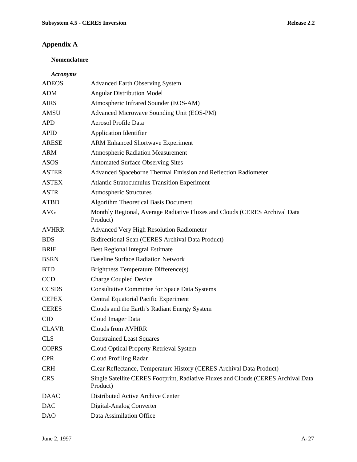# **Appendix A**

# **Nomenclature**

### *Acronyms*

| <b>ADEOS</b> | <b>Advanced Earth Observing System</b>                                                         |
|--------------|------------------------------------------------------------------------------------------------|
| <b>ADM</b>   | <b>Angular Distribution Model</b>                                                              |
| <b>AIRS</b>  | Atmospheric Infrared Sounder (EOS-AM)                                                          |
| <b>AMSU</b>  | Advanced Microwave Sounding Unit (EOS-PM)                                                      |
| <b>APD</b>   | <b>Aerosol Profile Data</b>                                                                    |
| <b>APID</b>  | <b>Application Identifier</b>                                                                  |
| <b>ARESE</b> | <b>ARM Enhanced Shortwave Experiment</b>                                                       |
| <b>ARM</b>   | <b>Atmospheric Radiation Measurement</b>                                                       |
| <b>ASOS</b>  | <b>Automated Surface Observing Sites</b>                                                       |
| <b>ASTER</b> | Advanced Spaceborne Thermal Emission and Reflection Radiometer                                 |
| <b>ASTEX</b> | <b>Atlantic Stratocumulus Transition Experiment</b>                                            |
| <b>ASTR</b>  | <b>Atmospheric Structures</b>                                                                  |
| <b>ATBD</b>  | <b>Algorithm Theoretical Basis Document</b>                                                    |
| <b>AVG</b>   | Monthly Regional, Average Radiative Fluxes and Clouds (CERES Archival Data<br>Product)         |
| <b>AVHRR</b> | <b>Advanced Very High Resolution Radiometer</b>                                                |
| <b>BDS</b>   | Bidirectional Scan (CERES Archival Data Product)                                               |
| <b>BRIE</b>  | <b>Best Regional Integral Estimate</b>                                                         |
| <b>BSRN</b>  | <b>Baseline Surface Radiation Network</b>                                                      |
| <b>BTD</b>   | Brightness Temperature Difference(s)                                                           |
| <b>CCD</b>   | <b>Charge Coupled Device</b>                                                                   |
| <b>CCSDS</b> | <b>Consultative Committee for Space Data Systems</b>                                           |
| <b>CEPEX</b> | <b>Central Equatorial Pacific Experiment</b>                                                   |
| <b>CERES</b> | Clouds and the Earth's Radiant Energy System                                                   |
| <b>CID</b>   | Cloud Imager Data                                                                              |
| <b>CLAVR</b> | <b>Clouds from AVHRR</b>                                                                       |
| <b>CLS</b>   | <b>Constrained Least Squares</b>                                                               |
| <b>COPRS</b> | Cloud Optical Property Retrieval System                                                        |
| <b>CPR</b>   | <b>Cloud Profiling Radar</b>                                                                   |
| <b>CRH</b>   | Clear Reflectance, Temperature History (CERES Archival Data Product)                           |
| <b>CRS</b>   | Single Satellite CERES Footprint, Radiative Fluxes and Clouds (CERES Archival Data<br>Product) |
| <b>DAAC</b>  | Distributed Active Archive Center                                                              |
| <b>DAC</b>   | Digital-Analog Converter                                                                       |
| <b>DAO</b>   | Data Assimilation Office                                                                       |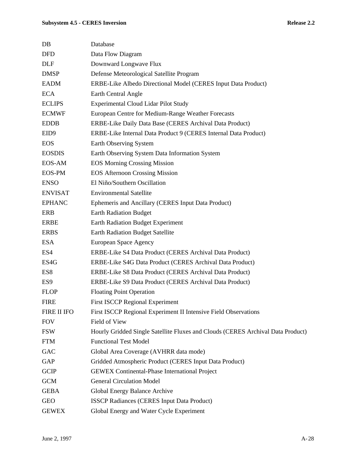| DB               | Database                                                                        |
|------------------|---------------------------------------------------------------------------------|
| <b>DFD</b>       | Data Flow Diagram                                                               |
| <b>DLF</b>       | Downward Longwave Flux                                                          |
| <b>DMSP</b>      | Defense Meteorological Satellite Program                                        |
| <b>EADM</b>      | ERBE-Like Albedo Directional Model (CERES Input Data Product)                   |
| <b>ECA</b>       | Earth Central Angle                                                             |
| <b>ECLIPS</b>    | <b>Experimental Cloud Lidar Pilot Study</b>                                     |
| <b>ECMWF</b>     | European Centre for Medium-Range Weather Forecasts                              |
| <b>EDDB</b>      | ERBE-Like Daily Data Base (CERES Archival Data Product)                         |
| EID <sub>9</sub> | ERBE-Like Internal Data Product 9 (CERES Internal Data Product)                 |
| <b>EOS</b>       | Earth Observing System                                                          |
| <b>EOSDIS</b>    | Earth Observing System Data Information System                                  |
| EOS-AM           | <b>EOS Morning Crossing Mission</b>                                             |
| <b>EOS-PM</b>    | <b>EOS Afternoon Crossing Mission</b>                                           |
| <b>ENSO</b>      | El Niño/Southern Oscillation                                                    |
| <b>ENVISAT</b>   | <b>Environmental Satellite</b>                                                  |
| <b>EPHANC</b>    | Ephemeris and Ancillary (CERES Input Data Product)                              |
| <b>ERB</b>       | <b>Earth Radiation Budget</b>                                                   |
| <b>ERBE</b>      | Earth Radiation Budget Experiment                                               |
| <b>ERBS</b>      | <b>Earth Radiation Budget Satellite</b>                                         |
| <b>ESA</b>       | European Space Agency                                                           |
| ES4              | ERBE-Like S4 Data Product (CERES Archival Data Product)                         |
| ES4G             | ERBE-Like S4G Data Product (CERES Archival Data Product)                        |
| ES8              | ERBE-Like S8 Data Product (CERES Archival Data Product)                         |
| ES <sub>9</sub>  | ERBE-Like S9 Data Product (CERES Archival Data Product)                         |
| <b>FLOP</b>      | <b>Floating Point Operation</b>                                                 |
| <b>FIRE</b>      | <b>First ISCCP Regional Experiment</b>                                          |
| FIRE II IFO      | First ISCCP Regional Experiment II Intensive Field Observations                 |
| <b>FOV</b>       | Field of View                                                                   |
| <b>FSW</b>       | Hourly Gridded Single Satellite Fluxes and Clouds (CERES Archival Data Product) |
| <b>FTM</b>       | <b>Functional Test Model</b>                                                    |
| GAC              | Global Area Coverage (AVHRR data mode)                                          |
| <b>GAP</b>       | Gridded Atmospheric Product (CERES Input Data Product)                          |
| <b>GCIP</b>      | <b>GEWEX Continental-Phase International Project</b>                            |
| <b>GCM</b>       | <b>General Circulation Model</b>                                                |
| <b>GEBA</b>      | Global Energy Balance Archive                                                   |
| <b>GEO</b>       | <b>ISSCP Radiances (CERES Input Data Product)</b>                               |
| <b>GEWEX</b>     | Global Energy and Water Cycle Experiment                                        |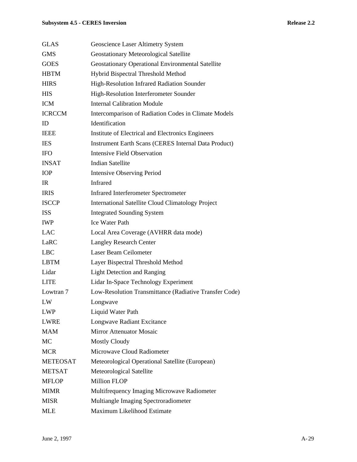# **Subsystem 4.5 - CERES Inversion Release 2.2**

| <b>GLAS</b>     | Geoscience Laser Altimetry System                           |
|-----------------|-------------------------------------------------------------|
| <b>GMS</b>      | Geostationary Meteorological Satellite                      |
| <b>GOES</b>     | <b>Geostationary Operational Environmental Satellite</b>    |
| <b>HBTM</b>     | Hybrid Bispectral Threshold Method                          |
| <b>HIRS</b>     | High-Resolution Infrared Radiation Sounder                  |
| <b>HIS</b>      | High-Resolution Interferometer Sounder                      |
| <b>ICM</b>      | <b>Internal Calibration Module</b>                          |
| <b>ICRCCM</b>   | Intercomparison of Radiation Codes in Climate Models        |
| ID              | Identification                                              |
| <b>IEEE</b>     | Institute of Electrical and Electronics Engineers           |
| <b>IES</b>      | <b>Instrument Earth Scans (CERES Internal Data Product)</b> |
| <b>IFO</b>      | <b>Intensive Field Observation</b>                          |
| <b>INSAT</b>    | <b>Indian Satellite</b>                                     |
| <b>IOP</b>      | <b>Intensive Observing Period</b>                           |
| $_{\rm IR}$     | Infrared                                                    |
| <b>IRIS</b>     | <b>Infrared Interferometer Spectrometer</b>                 |
| <b>ISCCP</b>    | <b>International Satellite Cloud Climatology Project</b>    |
| <b>ISS</b>      | <b>Integrated Sounding System</b>                           |
| <b>IWP</b>      | <b>Ice Water Path</b>                                       |
| <b>LAC</b>      | Local Area Coverage (AVHRR data mode)                       |
| LaRC            | <b>Langley Research Center</b>                              |
| <b>LBC</b>      | Laser Beam Ceilometer                                       |
| <b>LBTM</b>     | Layer Bispectral Threshold Method                           |
| Lidar           | <b>Light Detection and Ranging</b>                          |
| <b>LITE</b>     | Lidar In-Space Technology Experiment                        |
| Lowtran 7       | Low-Resolution Transmittance (Radiative Transfer Code)      |
| LW              | Longwave                                                    |
| <b>LWP</b>      | Liquid Water Path                                           |
| <b>LWRE</b>     | Longwave Radiant Excitance                                  |
| <b>MAM</b>      | <b>Mirror Attenuator Mosaic</b>                             |
| MC              | <b>Mostly Cloudy</b>                                        |
| <b>MCR</b>      | Microwave Cloud Radiometer                                  |
| <b>METEOSAT</b> | Meteorological Operational Satellite (European)             |
| <b>METSAT</b>   | Meteorological Satellite                                    |
| <b>MFLOP</b>    | <b>Million FLOP</b>                                         |
| <b>MIMR</b>     | Multifrequency Imaging Microwave Radiometer                 |
| <b>MISR</b>     | Multiangle Imaging Spectroradiometer                        |
| <b>MLE</b>      | Maximum Likelihood Estimate                                 |
|                 |                                                             |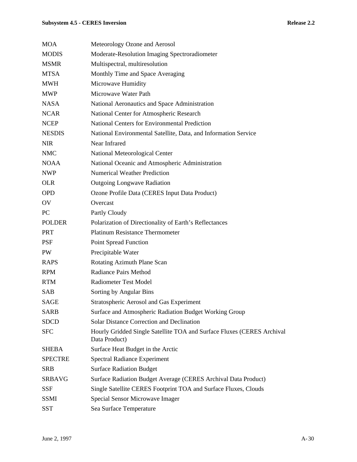# **Subsystem 4.5 - CERES Inversion**

| Release 2.2 |  |
|-------------|--|
|-------------|--|

| <b>MOA</b>     | Meteorology Ozone and Aerosol                                                           |
|----------------|-----------------------------------------------------------------------------------------|
| <b>MODIS</b>   | Moderate-Resolution Imaging Spectroradiometer                                           |
| <b>MSMR</b>    | Multispectral, multiresolution                                                          |
| <b>MTSA</b>    | Monthly Time and Space Averaging                                                        |
| MWH            | Microwave Humidity                                                                      |
| <b>MWP</b>     | Microwave Water Path                                                                    |
| <b>NASA</b>    | National Aeronautics and Space Administration                                           |
| <b>NCAR</b>    | National Center for Atmospheric Research                                                |
| <b>NCEP</b>    | National Centers for Environmental Prediction                                           |
| <b>NESDIS</b>  | National Environmental Satellite, Data, and Information Service                         |
| <b>NIR</b>     | Near Infrared                                                                           |
| <b>NMC</b>     | National Meteorological Center                                                          |
| <b>NOAA</b>    | National Oceanic and Atmospheric Administration                                         |
| <b>NWP</b>     | <b>Numerical Weather Prediction</b>                                                     |
| <b>OLR</b>     | <b>Outgoing Longwave Radiation</b>                                                      |
| <b>OPD</b>     | Ozone Profile Data (CERES Input Data Product)                                           |
| OV             | Overcast                                                                                |
| PC             | Partly Cloudy                                                                           |
| <b>POLDER</b>  | Polarization of Directionality of Earth's Reflectances                                  |
| <b>PRT</b>     | <b>Platinum Resistance Thermometer</b>                                                  |
| <b>PSF</b>     | <b>Point Spread Function</b>                                                            |
| PW             | Precipitable Water                                                                      |
| <b>RAPS</b>    | Rotating Azimuth Plane Scan                                                             |
| <b>RPM</b>     | <b>Radiance Pairs Method</b>                                                            |
| <b>RTM</b>     | <b>Radiometer Test Model</b>                                                            |
| <b>SAB</b>     | Sorting by Angular Bins                                                                 |
| <b>SAGE</b>    | Stratospheric Aerosol and Gas Experiment                                                |
| <b>SARB</b>    | Surface and Atmospheric Radiation Budget Working Group                                  |
| <b>SDCD</b>    | <b>Solar Distance Correction and Declination</b>                                        |
| <b>SFC</b>     | Hourly Gridded Single Satellite TOA and Surface Fluxes (CERES Archival<br>Data Product) |
| <b>SHEBA</b>   | Surface Heat Budget in the Arctic                                                       |
| <b>SPECTRE</b> | <b>Spectral Radiance Experiment</b>                                                     |
| <b>SRB</b>     | <b>Surface Radiation Budget</b>                                                         |
| <b>SRBAVG</b>  | Surface Radiation Budget Average (CERES Archival Data Product)                          |
| <b>SSF</b>     | Single Satellite CERES Footprint TOA and Surface Fluxes, Clouds                         |
| <b>SSMI</b>    | Special Sensor Microwave Imager                                                         |
| <b>SST</b>     | Sea Surface Temperature                                                                 |
|                |                                                                                         |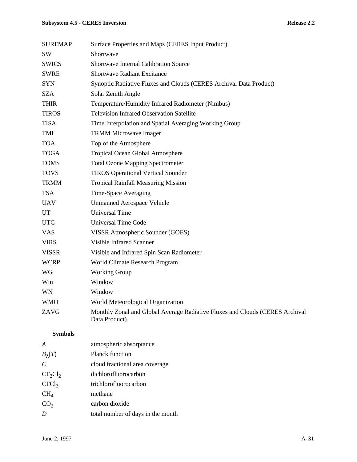# **Subsystem 4.5 - CERES Inversion Release 2.2**

| <b>SURFMAP</b> | Surface Properties and Maps (CERES Input Product)                                             |
|----------------|-----------------------------------------------------------------------------------------------|
| <b>SW</b>      | Shortwave                                                                                     |
| <b>SWICS</b>   | <b>Shortwave Internal Calibration Source</b>                                                  |
| <b>SWRE</b>    | <b>Shortwave Radiant Excitance</b>                                                            |
| <b>SYN</b>     | Synoptic Radiative Fluxes and Clouds (CERES Archival Data Product)                            |
| <b>SZA</b>     | Solar Zenith Angle                                                                            |
| <b>THIR</b>    | Temperature/Humidity Infrared Radiometer (Nimbus)                                             |
| <b>TIROS</b>   | <b>Television Infrared Observation Satellite</b>                                              |
| <b>TISA</b>    | Time Interpolation and Spatial Averaging Working Group                                        |
| TMI            | <b>TRMM Microwave Imager</b>                                                                  |
| <b>TOA</b>     | Top of the Atmosphere                                                                         |
| <b>TOGA</b>    | Tropical Ocean Global Atmosphere                                                              |
| <b>TOMS</b>    | <b>Total Ozone Mapping Spectrometer</b>                                                       |
| <b>TOVS</b>    | <b>TIROS Operational Vertical Sounder</b>                                                     |
| <b>TRMM</b>    | <b>Tropical Rainfall Measuring Mission</b>                                                    |
| <b>TSA</b>     | Time-Space Averaging                                                                          |
| <b>UAV</b>     | <b>Unmanned Aerospace Vehicle</b>                                                             |
| UT             | <b>Universal Time</b>                                                                         |
| <b>UTC</b>     | Universal Time Code                                                                           |
| <b>VAS</b>     | VISSR Atmospheric Sounder (GOES)                                                              |
| <b>VIRS</b>    | <b>Visible Infrared Scanner</b>                                                               |
| <b>VISSR</b>   | Visible and Infrared Spin Scan Radiometer                                                     |
| <b>WCRP</b>    | World Climate Research Program                                                                |
| WG             | <b>Working Group</b>                                                                          |
| Win            | Window                                                                                        |
| <b>WN</b>      | Window                                                                                        |
| <b>WMO</b>     | World Meteorological Organization                                                             |
| ZAVG           | Monthly Zonal and Global Average Radiative Fluxes and Clouds (CERES Archival<br>Data Product) |

# **Symbols**

| A                 | atmospheric absorptance           |
|-------------------|-----------------------------------|
| $B_{\lambda}(T)$  | <b>Planck function</b>            |
| $\mathcal{C}$     | cloud fractional area coverage    |
| $CF_2Cl_2$        | dichlorofluorocarbon              |
| CFCl <sub>3</sub> | trichlorofluorocarbon             |
| $CH_4$            | methane                           |
| CO <sub>2</sub>   | carbon dioxide                    |
| D                 | total number of days in the month |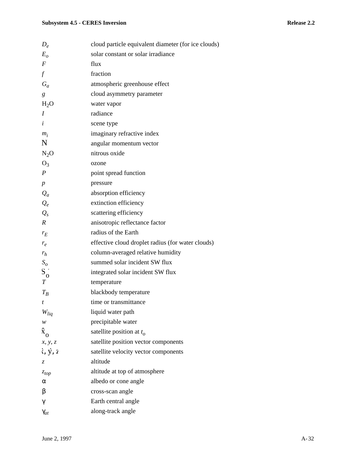| $D_e$                      | cloud particle equivalent diameter (for ice clouds) |
|----------------------------|-----------------------------------------------------|
| $E_{\alpha}$               | solar constant or solar irradiance                  |
| $\boldsymbol{F}$           | flux                                                |
| $\int$                     | fraction                                            |
| $G_a$                      | atmospheric greenhouse effect                       |
| g                          | cloud asymmetry parameter                           |
| H <sub>2</sub> O           | water vapor                                         |
| I                          | radiance                                            |
| i                          | scene type                                          |
| $m_i$                      | imaginary refractive index                          |
| Ñ                          | angular momentum vector                             |
| $N_2O$                     | nitrous oxide                                       |
| $O_3$                      | ozone                                               |
| $\boldsymbol{P}$           | point spread function                               |
| $\boldsymbol{p}$           | pressure                                            |
| $Q_a$                      | absorption efficiency                               |
| $Q_e$                      | extinction efficiency                               |
| $Q_{s}$                    | scattering efficiency                               |
| $\boldsymbol{R}$           | anisotropic reflectance factor                      |
| $r_E$                      | radius of the Earth                                 |
| $r_e$                      | effective cloud droplet radius (for water clouds)   |
| $r_h$                      | column-averaged relative humidity                   |
| $S_{o}$                    | summed solar incident SW flux                       |
| $S_0$                      | integrated solar incident SW flux                   |
| $\boldsymbol{T}$           | temperature                                         |
| $T_B$                      | blackbody temperature                               |
|                            | time or transmittance                               |
| $W_{liq}$                  | liquid water path                                   |
| w                          | precipitable water                                  |
| $\boldsymbol{\hat{x}}_{o}$ | satellite position at $t_o$                         |
| x, y, z                    | satellite position vector components                |
| $i, \dot{y}, i$            | satellite velocity vector components                |
| Z.                         | altitude                                            |
| $z_{top}$                  | altitude at top of atmosphere                       |
| α                          | albedo or cone angle                                |
| β                          | cross-scan angle                                    |
| γ                          | Earth central angle                                 |
| $\gamma_{at}$              | along-track angle                                   |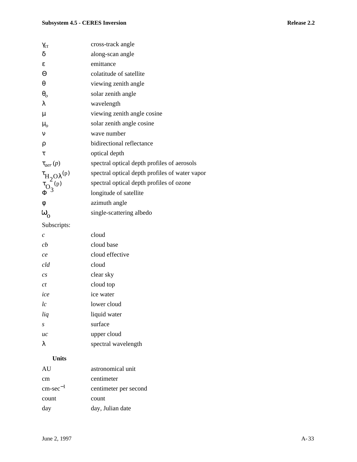| $\gamma_{ct}$                                                                                                                        | cross-track angle                              |
|--------------------------------------------------------------------------------------------------------------------------------------|------------------------------------------------|
| δ                                                                                                                                    | along-scan angle                               |
| ε                                                                                                                                    | emittance                                      |
| Θ                                                                                                                                    | colatitude of satellite                        |
| $\theta$                                                                                                                             | viewing zenith angle                           |
| $\theta_o$                                                                                                                           | solar zenith angle                             |
| λ                                                                                                                                    | wavelength                                     |
| $\mu$                                                                                                                                | viewing zenith angle cosine                    |
| $\mu_o$                                                                                                                              | solar zenith angle cosine                      |
| $\mathbf{v}$                                                                                                                         | wave number                                    |
| ρ                                                                                                                                    | bidirectional reflectance                      |
| τ                                                                                                                                    | optical depth                                  |
|                                                                                                                                      | spectral optical depth profiles of aerosols    |
| $\begin{matrix} \varphi \\ \tau_{\mathrm{H}_2\mathrm{O}\lambda}(\mathrm{p}) \\ \tau_{\mathrm{O}_3}(\mathrm{p}) \\ \Phi \end{matrix}$ | spectral optical depth profiles of water vapor |
|                                                                                                                                      | spectral optical depth profiles of ozone       |
|                                                                                                                                      | longitude of satellite                         |
| φ                                                                                                                                    | azimuth angle                                  |
| $\boldsymbol{\omega}_{\rm o}$                                                                                                        | single-scattering albedo                       |
|                                                                                                                                      |                                                |

Subscripts:

| $\mathcal{C}_{0}^{0}$ | cloud               |
|-----------------------|---------------------|
| cb                    | cloud base          |
| ce                    | cloud effective     |
| cld                   | cloud               |
| $\mathfrak{c}_S$      | clear sky           |
| ct                    | cloud top           |
| ice                   | ice water           |
| l c                   | lower cloud         |
| liq                   | liquid water        |
| S                     | surface             |
| uc                    | upper cloud         |
| λ                     | spectral wavelength |

# **Units**

| AU                   | astronomical unit     |
|----------------------|-----------------------|
| cm                   | centimeter            |
| $\text{cm-sec}^{-1}$ | centimeter per second |
| count                | count                 |
| day                  | day, Julian date      |